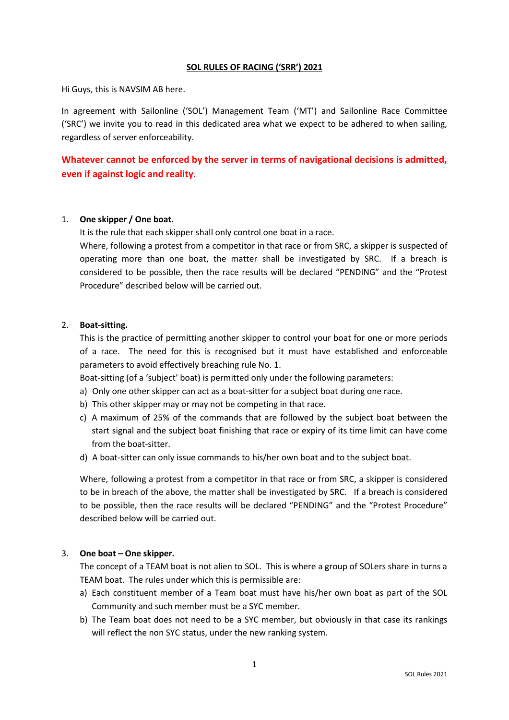#### **SOL RULES OF RACING ('SRR') 2021**

Hi Guys, this is NAVSIM AB here.

In agreement with Sailonline ('SOL') Management Team ('MT') and Sailonline Race Committee ('SRC') we invite you to read in this dedicated area what we expect to be adhered to when sailing, regardless of server enforceability.

**Whatever cannot be enforced by the server in terms of navigational decisions is admitted, even if against logic and reality.**

### 1. **One skipper / One boat.**

It is the rule that each skipper shall only control one boat in a race.

Where, following a protest from a competitor in that race or from SRC, a skipper is suspected of operating more than one boat, the matter shall be investigated by SRC. If a breach is considered to be possible, then the race results will be declared "PENDING" and the "Protest Procedure" described below will be carried out.

### 2. **Boat-sitting.**

This is the practice of permitting another skipper to control your boat for one or more periods of a race. The need for this is recognised but it must have established and enforceable parameters to avoid effectively breaching rule No. 1.

Boat-sitting (of a 'subject' boat) is permitted only under the following parameters:

- a) Only one other skipper can act as a boat-sitter for a subject boat during one race.
- b) This other skipper may or may not be competing in that race.
- c) A maximum of 25% of the commands that are followed by the subject boat between the start signal and the subject boat finishing that race or expiry of its time limit can have come from the boat-sitter.
- d) A boat-sitter can only issue commands to his/her own boat and to the subject boat.

Where, following a protest from a competitor in that race or from SRC, a skipper is considered to be in breach of the above, the matter shall be investigated by SRC. If a breach is considered to be possible, then the race results will be declared "PENDING" and the "Protest Procedure" described below will be carried out.

### 3. **One boat – One skipper.**

The concept of a TEAM boat is not alien to SOL. This is where a group of SOLers share in turns a TEAM boat. The rules under which this is permissible are:

- a) Each constituent member of a Team boat must have his/her own boat as part of the SOL Community and such member must be a SYC member.
- b) The Team boat does not need to be a SYC member, but obviously in that case its rankings will reflect the non SYC status, under the new ranking system.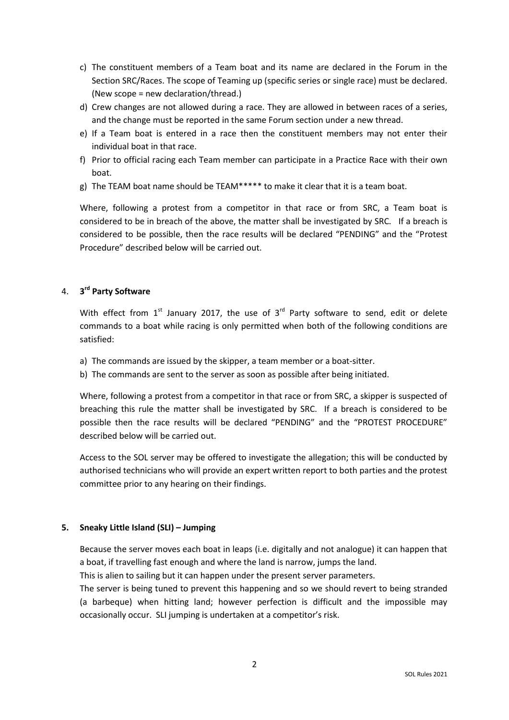- c) The constituent members of a Team boat and its name are declared in the Forum in the Section SRC/Races. The scope of Teaming up (specific series or single race) must be declared. (New scope = new declaration/thread.)
- d) Crew changes are not allowed during a race. They are allowed in between races of a series, and the change must be reported in the same Forum section under a new thread.
- e) If a Team boat is entered in a race then the constituent members may not enter their individual boat in that race.
- f) Prior to official racing each Team member can participate in a Practice Race with their own boat.
- g) The TEAM boat name should be TEAM\*\*\*\*\* to make it clear that it is a team boat.

Where, following a protest from a competitor in that race or from SRC, a Team boat is considered to be in breach of the above, the matter shall be investigated by SRC. If a breach is considered to be possible, then the race results will be declared "PENDING" and the "Protest Procedure" described below will be carried out.

# 4. **3 rd Party Software**

With effect from  $1<sup>st</sup>$  January 2017, the use of  $3<sup>rd</sup>$  Party software to send, edit or delete commands to a boat while racing is only permitted when both of the following conditions are satisfied:

- a) The commands are issued by the skipper, a team member or a boat-sitter.
- b) The commands are sent to the server as soon as possible after being initiated.

Where, following a protest from a competitor in that race or from SRC, a skipper is suspected of breaching this rule the matter shall be investigated by SRC. If a breach is considered to be possible then the race results will be declared "PENDING" and the "PROTEST PROCEDURE" described below will be carried out.

Access to the SOL server may be offered to investigate the allegation; this will be conducted by authorised technicians who will provide an expert written report to both parties and the protest committee prior to any hearing on their findings.

### **5. Sneaky Little Island (SLI) – Jumping**

Because the server moves each boat in leaps (i.e. digitally and not analogue) it can happen that a boat, if travelling fast enough and where the land is narrow, jumps the land.

This is alien to sailing but it can happen under the present server parameters.

The server is being tuned to prevent this happening and so we should revert to being stranded (a barbeque) when hitting land; however perfection is difficult and the impossible may occasionally occur. SLI jumping is undertaken at a competitor's risk.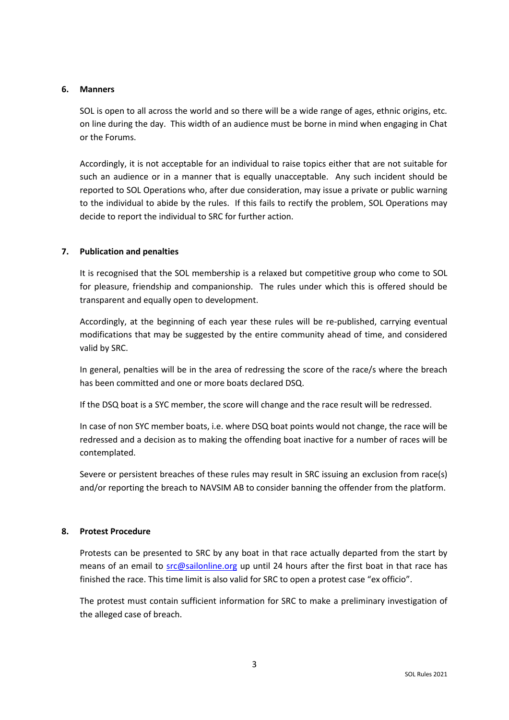### **6. Manners**

SOL is open to all across the world and so there will be a wide range of ages, ethnic origins, etc. on line during the day. This width of an audience must be borne in mind when engaging in Chat or the Forums.

Accordingly, it is not acceptable for an individual to raise topics either that are not suitable for such an audience or in a manner that is equally unacceptable. Any such incident should be reported to SOL Operations who, after due consideration, may issue a private or public warning to the individual to abide by the rules. If this fails to rectify the problem, SOL Operations may decide to report the individual to SRC for further action.

### **7. Publication and penalties**

It is recognised that the SOL membership is a relaxed but competitive group who come to SOL for pleasure, friendship and companionship. The rules under which this is offered should be transparent and equally open to development.

Accordingly, at the beginning of each year these rules will be re-published, carrying eventual modifications that may be suggested by the entire community ahead of time, and considered valid by SRC.

In general, penalties will be in the area of redressing the score of the race/s where the breach has been committed and one or more boats declared DSQ.

If the DSQ boat is a SYC member, the score will change and the race result will be redressed.

In case of non SYC member boats, i.e. where DSQ boat points would not change, the race will be redressed and a decision as to making the offending boat inactive for a number of races will be contemplated.

Severe or persistent breaches of these rules may result in SRC issuing an exclusion from race(s) and/or reporting the breach to NAVSIM AB to consider banning the offender from the platform.

### **8. Protest Procedure**

Protests can be presented to SRC by any boat in that race actually departed from the start by means of an email to [src@sailonline.org](mailto:src@sailonline.org) up until 24 hours after the first boat in that race has finished the race. This time limit is also valid for SRC to open a protest case "ex officio".

The protest must contain sufficient information for SRC to make a preliminary investigation of the alleged case of breach.